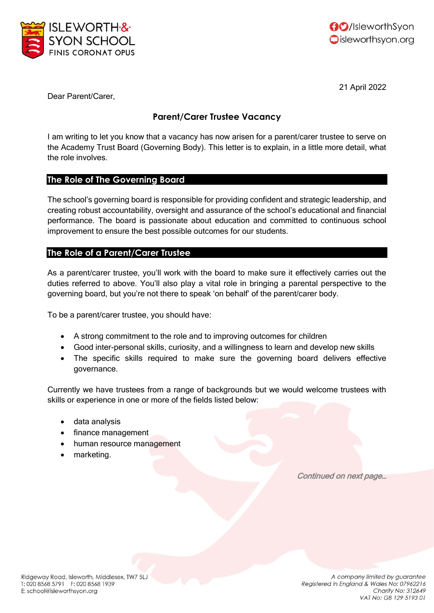



21 April 2022

Dear Parent/Carer,

# **Parent/Carer Trustee Vacancy**

I am writing to let you know that a vacancy has now arisen for a parent/carer trustee to serve on the Academy Trust Board (Governing Body). This letter is to explain, in a little more detail, what the role involves.

### **The Role of The Governing Board**

The school's governing board is responsible for providing confident and strategic leadership, and creating robust accountability, oversight and assurance of the school's educational and financial performance. The board is passionate about education and committed to continuous school improvement to ensure the best possible outcomes for our students.

## **The Role of a Parent/Carer Trustee**

As a parent/carer trustee, you'll work with the board to make sure it effectively carries out the duties referred to above. You'll also play a vital role in bringing a parental perspective to the governing board, but you're not there to speak 'on behalf' of the parent/carer body.

To be a parent/carer trustee, you should have:

- A strong commitment to the role and to improving outcomes for children
- Good inter-personal skills, curiosity, and a willingness to learn and develop new skills
- The specific skills required to make sure the governing board delivers effective governance.

Currently we have trustees from a range of backgrounds but we would welcome trustees with skills or experience in one or more of the fields listed below:

- data analysis
- finance management
- human resource management
- marketing.

Continued on next page…